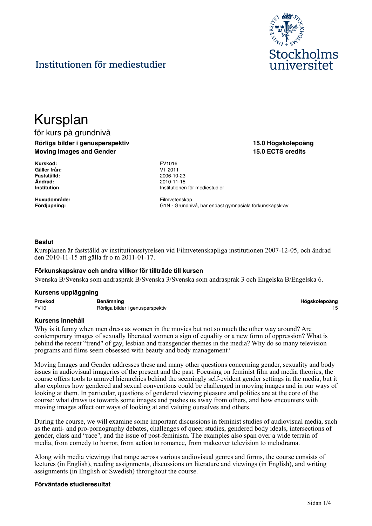

**15.0 Högskolepoäng 15.0 ECTS credits**

# Institutionen för mediestudier

# Kursplan

# för kurs på grundnivå **Rörliga bilder i genusperspektiv Moving Images and Gender**

**Kurskod:** FV1016 **Gäller från:** VT 2011 **Ändrad:** 2010-11-15

**Huvudområde:** Filmvetenskap

**Fastställd:** 2006-10-23 **Institutionen för mediestudier** 

**Fördjupning:** G1N - Grundnivå, har endast gymnasiala förkunskapskrav

# **Beslut**

Kursplanen är fastställd av institutionsstyrelsen vid Filmvetenskapliga institutionen 2007-12-05, och ändrad den 2010-11-15 att gälla fr o m 2011-01-17.

#### **Förkunskapskrav och andra villkor för tillträde till kursen**

Svenska B/Svenska som andraspråk B/Svenska 3/Svenska som andraspråk 3 och Engelska B/Engelska 6.

#### **Kursens uppläggning**

| Provkod     | <b>Benämning</b>                 | Högskolepoäng |
|-------------|----------------------------------|---------------|
| <b>FV10</b> | Rörliga bilder i genusperspektiv |               |

#### **Kursens innehåll**

Why is it funny when men dress as women in the movies but not so much the other way around? Are contemporary images of sexually liberated women a sign of equality or a new form of oppression? What is behind the recent "trend" of gay, lesbian and transgender themes in the media? Why do so many television programs and films seem obsessed with beauty and body management?

Moving Images and Gender addresses these and many other questions concerning gender, sexuality and body issues in audiovisual imageries of the present and the past. Focusing on feminist film and media theories, the course offers tools to unravel hierarchies behind the seemingly self-evident gender settings in the media, but it also explores how gendered and sexual conventions could be challenged in moving images and in our ways of looking at them. In particular, questions of gendered viewing pleasure and politics are at the core of the course: what draws us towards some images and pushes us away from others, and how encounters with moving images affect our ways of looking at and valuing ourselves and others.

During the course, we will examine some important discussions in feminist studies of audiovisual media, such as the anti- and pro-pornography debates, challenges of queer studies, gendered body ideals, intersections of gender, class and "race", and the issue of post-feminism. The examples also span over a wide terrain of media, from comedy to horror, from action to romance, from makeover television to melodrama.

Along with media viewings that range across various audiovisual genres and forms, the course consists of lectures (in English), reading assignments, discussions on literature and viewings (in English), and writing assignments (in English or Swedish) throughout the course.

#### **Förväntade studieresultat**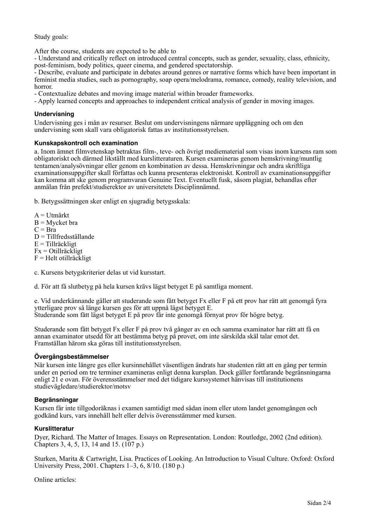Study goals:

After the course, students are expected to be able to

- Understand and critically reflect on introduced central concepts, such as gender, sexuality, class, ethnicity, post-feminism, body politics, queer cinema, and gendered spectatorship.

- Describe, evaluate and participate in debates around genres or narrative forms which have been important in feminist media studies, such as pornography, soap opera/melodrama, romance, comedy, reality television, and horror.

- Contextualize debates and moving image material within broader frameworks.

- Apply learned concepts and approaches to independent critical analysis of gender in moving images.

# **Undervisning**

Undervisning ges i mån av resurser. Beslut om undervisningens närmare uppläggning och om den undervisning som skall vara obligatorisk fattas av institutionsstyrelsen.

# **Kunskapskontroll och examination**

a. Inom ämnet filmvetenskap betraktas film-, teve- och övrigt mediematerial som visas inom kursens ram som obligatoriskt och därmed likställt med kurslitteraturen. Kursen examineras genom hemskrivning/muntlig tentamen/analysövningar eller genom en kombination av dessa. Hemskrivningar och andra skriftliga examinationsuppgifter skall författas och kunna presenteras elektroniskt. Kontroll av examinationsuppgifter kan komma att ske genom programvaran Genuine Text. Eventuellt fusk, såsom plagiat, behandlas efter anmälan från prefekt/studierektor av universitetets Disciplinnämnd.

b. Betygssättningen sker enligt en sjugradig betygsskala:

A = Utmärkt  $B = M$ ycket bra  $C = Bra$ D = Tillfredsställande E = Tillräckligt Fx = Otillräckligt  $F = Helt$  otillräckligt

c. Kursens betygskriterier delas ut vid kursstart.

d. För att få slutbetyg på hela kursen krävs lägst betyget E på samtliga moment.

e. Vid underkännande gäller att studerande som fått betyget Fx eller F på ett prov har rätt att genomgå fyra ytterligare prov så länge kursen ges för att uppnå lägst betyget E. Studerande som fått lägst betyget E på prov får inte genomgå förnyat prov för högre betyg.

Studerande som fått betyget Fx eller F på prov två gånger av en och samma examinator har rätt att få en annan examinator utsedd för att bestämma betyg på provet, om inte särskilda skäl talar emot det. Framställan härom ska göras till institutionsstyrelsen.

# **Övergångsbestämmelser**

När kursen inte längre ges eller kursinnehållet väsentligen ändrats har studenten rätt att en gång per termin under en period om tre terminer examineras enligt denna kursplan. Dock gäller fortfarande begränsningarna enligt 21 e ovan. För överensstämmelser med det tidigare kurssystemet hänvisas till institutionens studievägledare/studierektor/motsv

# **Begränsningar**

Kursen får inte tillgodoräknas i examen samtidigt med sådan inom eller utom landet genomgången och godkänd kurs, vars innehåll helt eller delvis överensstämmer med kursen.

# **Kurslitteratur**

Dyer, Richard. The Matter of Images. Essays on Representation. London: Routledge, 2002 (2nd edition). Chapters 3, 4, 5, 13, 14 and 15. (107 p.)

Sturken, Marita & Cartwright, Lisa. Practices of Looking. An Introduction to Visual Culture. Oxford: Oxford University Press, 2001. Chapters 1–3, 6, 8/10. (180 p.)

Online articles: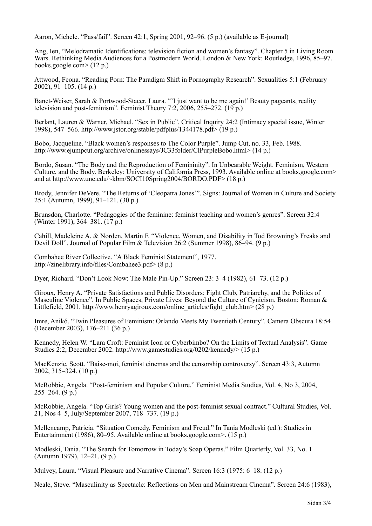Aaron, Michele. "Pass/fail". Screen 42:1, Spring 2001, 92–96. (5 p.) (available as E-journal)

Ang, Ien, "Melodramatic Identifications: television fiction and women's fantasy". Chapter 5 in Living Room Wars. Rethinking Media Audiences for a Postmodern World. London & New York: Routledge, 1996, 85–97. books.google.com> (12 p.)

Attwood, Feona. "Reading Porn: The Paradigm Shift in Pornography Research". Sexualities 5:1 (February 2002), 91–105. (14 p.)

Banet-Weiser, Sarah & Portwood-Stacer, Laura. "'I just want to be me again!' Beauty pageants, reality television and post-feminism". Feminist Theory 7:2, 2006, 255–272. (19 p.)

Berlant, Lauren & Warner, Michael. "Sex in Public". Critical Inquiry 24:2 (Intimacy special issue, Winter 1998), 547–566. http://www.jstor.org/stable/pdfplus/1344178.pdf> (19 p.)

Bobo, Jacqueline. "Black women's responses to The Color Purple". Jump Cut, no. 33, Feb. 1988. http://www.ejumpcut.org/archive/onlinessays/JC33folder/ClPurpleBobo.html> (14 p.)

Bordo, Susan. "The Body and the Reproduction of Femininity". In Unbearable Weight. Feminism, Western Culture, and the Body. Berkeley: University of California Press, 1993. Available online at books.google.com> and at http://www.unc.edu/~kbm/SOCI10Spring2004/BORDO.PDF> (18 p.)

Brody, Jennifer DeVere. "The Returns of 'Cleopatra Jones'". Signs: Journal of Women in Culture and Society 25:1 (Autumn, 1999), 91–121. (30 p.)

Brunsdon, Charlotte. "Pedagogies of the feminine: feminist teaching and women's genres". Screen 32:4 (Winter 1991), 364–381. (17 p.)

Cahill, Madeleine A. & Norden, Martin F. "Violence, Women, and Disability in Tod Browning's Freaks and Devil Doll". Journal of Popular Film & Television 26:2 (Summer 1998), 86–94. (9 p.)

Combahee River Collective. "A Black Feminist Statement", 1977. http://zinelibrary.info/files/Combahee3.pdf> (8 p.)

Dyer, Richard. "Don't Look Now: The Male Pin-Up." Screen 23: 3–4 (1982), 61–73. (12 p.)

Giroux, Henry A. "Private Satisfactions and Public Disorders: Fight Club, Patriarchy, and the Politics of Masculine Violence". In Public Spaces, Private Lives: Beyond the Culture of Cynicism. Boston: Roman & Littlefield, 2001. http://www.henryagiroux.com/online\_articles/fight\_club.htm>  $(28 \text{ p.})$ 

Imre, Anikó. "Twin Pleasures of Feminism: Orlando Meets My Twentieth Century". Camera Obscura 18:54 (December 2003), 176–211 (36 p.)

Kennedy, Helen W. "Lara Croft: Feminist Icon or Cyberbimbo? On the Limits of Textual Analysis". Game Studies 2:2, December 2002. http://www.gamestudies.org/0202/kennedy/> (15 p.)

MacKenzie, Scott. "Baise-moi, feminist cinemas and the censorship controversy". Screen 43:3, Autumn 2002, 315–324. (10 p.)

McRobbie, Angela. "Post-feminism and Popular Culture." Feminist Media Studies, Vol. 4, No 3, 2004,  $255-264. (9 p.)$ 

McRobbie, Angela. "Top Girls? Young women and the post-feminist sexual contract." Cultural Studies, Vol. 21, Nos 4–5, July/September 2007, 718–737. (19 p.)

Mellencamp, Patricia. "Situation Comedy, Feminism and Freud." In Tania Modleski (ed.): Studies in Entertainment (1986), 80–95. Available online at books.google.com>. (15 p.)

Modleski, Tania. "The Search for Tomorrow in Today's Soap Operas." Film Quarterly, Vol. 33, No. 1 (Autumn 1979), 12–21. (9 p.)

Mulvey, Laura. "Visual Pleasure and Narrative Cinema". Screen 16:3 (1975: 6–18. (12 p.)

Neale, Steve. "Masculinity as Spectacle: Reflections on Men and Mainstream Cinema". Screen 24:6 (1983),